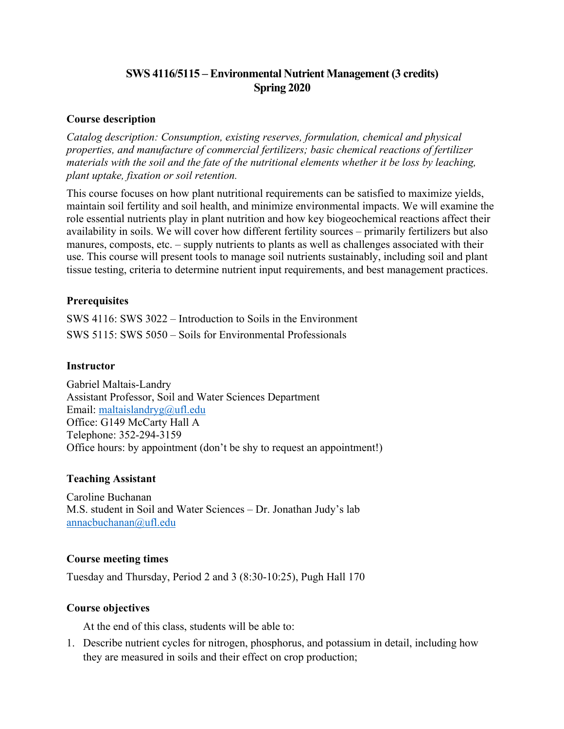# **SWS 4116/5115 – Environmental Nutrient Management (3 credits) Spring 2020**

#### **Course description**

*Catalog description: Consumption, existing reserves, formulation, chemical and physical properties, and manufacture of commercial fertilizers; basic chemical reactions of fertilizer materials with the soil and the fate of the nutritional elements whether it be loss by leaching, plant uptake, fixation or soil retention.*

This course focuses on how plant nutritional requirements can be satisfied to maximize yields, maintain soil fertility and soil health, and minimize environmental impacts. We will examine the role essential nutrients play in plant nutrition and how key biogeochemical reactions affect their availability in soils. We will cover how different fertility sources – primarily fertilizers but also manures, composts, etc. – supply nutrients to plants as well as challenges associated with their use. This course will present tools to manage soil nutrients sustainably, including soil and plant tissue testing, criteria to determine nutrient input requirements, and best management practices.

# **Prerequisites**

SWS 4116: SWS 3022 – Introduction to Soils in the Environment SWS 5115: SWS 5050 – Soils for Environmental Professionals

#### **Instructor**

Gabriel Maltais-Landry Assistant Professor, Soil and Water Sciences Department Email: maltaislandryg@ufl.edu Office: G149 McCarty Hall A Telephone: 352-294-3159 Office hours: by appointment (don't be shy to request an appointment!)

#### **Teaching Assistant**

Caroline Buchanan M.S. student in Soil and Water Sciences – Dr. Jonathan Judy's lab annacbuchanan@ufl.edu

#### **Course meeting times**

Tuesday and Thursday, Period 2 and 3 (8:30-10:25), Pugh Hall 170

#### **Course objectives**

At the end of this class, students will be able to:

1. Describe nutrient cycles for nitrogen, phosphorus, and potassium in detail, including how they are measured in soils and their effect on crop production;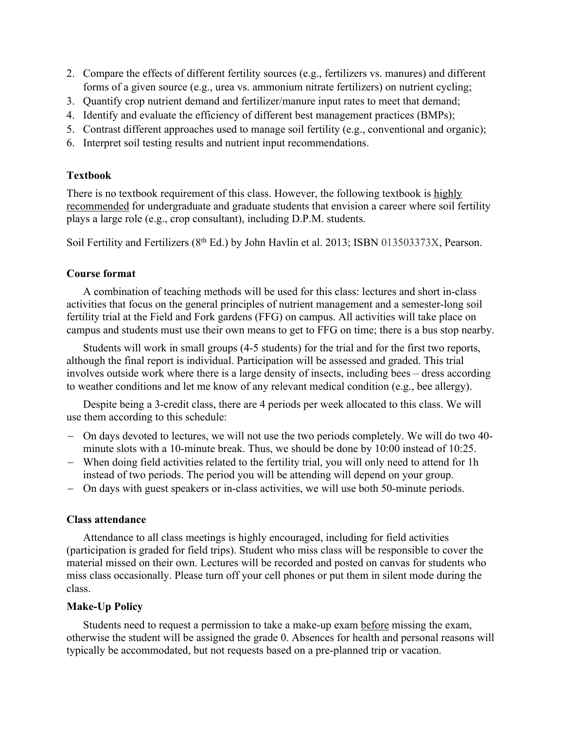- 2. Compare the effects of different fertility sources (e.g., fertilizers vs. manures) and different forms of a given source (e.g., urea vs. ammonium nitrate fertilizers) on nutrient cycling;
- 3. Quantify crop nutrient demand and fertilizer/manure input rates to meet that demand;
- 4. Identify and evaluate the efficiency of different best management practices (BMPs);
- 5. Contrast different approaches used to manage soil fertility (e.g., conventional and organic);
- 6. Interpret soil testing results and nutrient input recommendations.

# **Textbook**

There is no textbook requirement of this class. However, the following textbook is highly recommended for undergraduate and graduate students that envision a career where soil fertility plays a large role (e.g., crop consultant), including D.P.M. students.

Soil Fertility and Fertilizers (8<sup>th</sup> Ed.) by John Havlin et al. 2013; ISBN 013503373X, Pearson.

# **Course format**

A combination of teaching methods will be used for this class: lectures and short in-class activities that focus on the general principles of nutrient management and a semester-long soil fertility trial at the Field and Fork gardens (FFG) on campus. All activities will take place on campus and students must use their own means to get to FFG on time; there is a bus stop nearby.

Students will work in small groups (4-5 students) for the trial and for the first two reports, although the final report is individual. Participation will be assessed and graded. This trial involves outside work where there is a large density of insects, including bees – dress according to weather conditions and let me know of any relevant medical condition (e.g., bee allergy).

Despite being a 3-credit class, there are 4 periods per week allocated to this class. We will use them according to this schedule:

- On days devoted to lectures, we will not use the two periods completely. We will do two 40 minute slots with a 10-minute break. Thus, we should be done by 10:00 instead of 10:25.
- When doing field activities related to the fertility trial, you will only need to attend for 1h instead of two periods. The period you will be attending will depend on your group.
- On days with guest speakers or in-class activities, we will use both 50-minute periods.

# **Class attendance**

Attendance to all class meetings is highly encouraged, including for field activities (participation is graded for field trips). Student who miss class will be responsible to cover the material missed on their own. Lectures will be recorded and posted on canvas for students who miss class occasionally. Please turn off your cell phones or put them in silent mode during the class.

# **Make-Up Policy**

Students need to request a permission to take a make-up exam before missing the exam, otherwise the student will be assigned the grade 0. Absences for health and personal reasons will typically be accommodated, but not requests based on a pre-planned trip or vacation.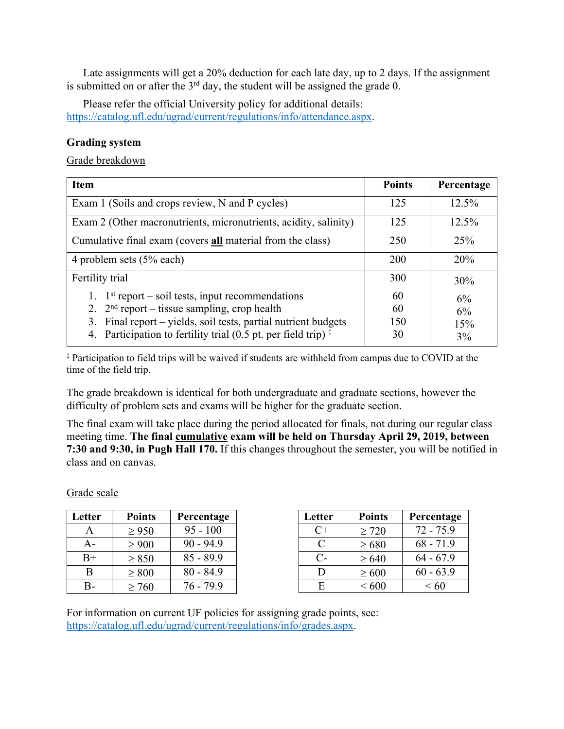Late assignments will get a 20% deduction for each late day, up to 2 days. If the assignment is submitted on or after the  $3<sup>rd</sup>$  day, the student will be assigned the grade 0.

Please refer the official University policy for additional details: https://catalog.ufl.edu/ugrad/current/regulations/info/attendance.aspx.

# **Grading system**

Grade breakdown

| <b>Item</b>                                                                                                                                                                                                                                           | <b>Points</b>         | Percentage            |
|-------------------------------------------------------------------------------------------------------------------------------------------------------------------------------------------------------------------------------------------------------|-----------------------|-----------------------|
| Exam 1 (Soils and crops review, N and P cycles)                                                                                                                                                                                                       | 125                   | 12.5%                 |
| Exam 2 (Other macronutrients, micronutrients, acidity, salinity)                                                                                                                                                                                      | 125                   | 12.5%                 |
| Cumulative final exam (covers <b>all</b> material from the class)                                                                                                                                                                                     | 250                   | 25%                   |
| 4 problem sets $(5\%$ each)                                                                                                                                                                                                                           | 200                   | 20%                   |
| Fertility trial                                                                                                                                                                                                                                       | 300                   | 30%                   |
| 1. $1st$ report – soil tests, input recommendations<br>2. $2nd$ report – tissue sampling, crop health<br>3. Final report – yields, soil tests, partial nutrient budgets<br>Participation to fertility trial (0.5 pt. per field trip) $\ddagger$<br>4. | 60<br>60<br>150<br>30 | 6%<br>6%<br>15%<br>3% |

‡ Participation to field trips will be waived if students are withheld from campus due to COVID at the time of the field trip.

The grade breakdown is identical for both undergraduate and graduate sections, however the difficulty of problem sets and exams will be higher for the graduate section.

The final exam will take place during the period allocated for finals, not during our regular class meeting time. **The final cumulative exam will be held on Thursday April 29, 2019, between 7:30 and 9:30, in Pugh Hall 170.** If this changes throughout the semester, you will be notified in class and on canvas.

#### Grade scale

| Letter | <b>Points</b> | Percentage  | Letter | <b>Points</b> | Percentage  |
|--------|---------------|-------------|--------|---------------|-------------|
| A      | $\geq 950$    | $95 - 100$  | $C+$   | $\geq$ 720    | $72 - 75.9$ |
| A-     | $\geq 900$    | $90 - 94.9$ | C      | $\geq 680$    | $68 - 71.9$ |
| $B+$   | $\geq 850$    | $85 - 89.9$ | $C-$   | $\geq 640$    | $64 - 67.9$ |
| B      | $\geq 800$    | $80 - 84.9$ | D      | $\geq 600$    | $60 - 63.9$ |
| B-     | $\geq 760$    | $76 - 79.9$ | Ε      | ${}< 600$     | < 60        |

For information on current UF policies for assigning grade points, see: https://catalog.ufl.edu/ugrad/current/regulations/info/grades.aspx.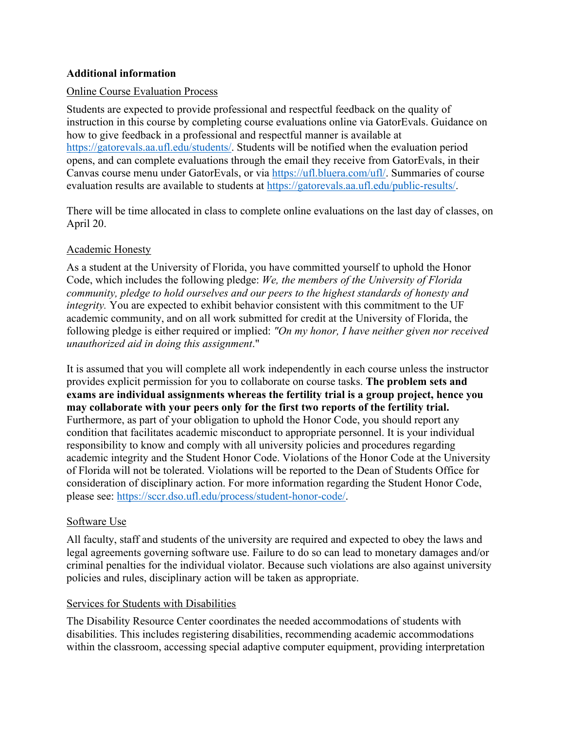# **Additional information**

#### Online Course Evaluation Process

Students are expected to provide professional and respectful feedback on the quality of instruction in this course by completing course evaluations online via GatorEvals. Guidance on how to give feedback in a professional and respectful manner is available at https://gatorevals.aa.ufl.edu/students/. Students will be notified when the evaluation period opens, and can complete evaluations through the email they receive from GatorEvals, in their Canvas course menu under GatorEvals, or via https://ufl.bluera.com/ufl/. Summaries of course evaluation results are available to students at https://gatorevals.aa.ufl.edu/public-results/.

There will be time allocated in class to complete online evaluations on the last day of classes, on April 20.

# Academic Honesty

As a student at the University of Florida, you have committed yourself to uphold the Honor Code, which includes the following pledge: *We, the members of the University of Florida community, pledge to hold ourselves and our peers to the highest standards of honesty and integrity.* You are expected to exhibit behavior consistent with this commitment to the UF academic community, and on all work submitted for credit at the University of Florida, the following pledge is either required or implied: *"On my honor, I have neither given nor received unauthorized aid in doing this assignment*."

It is assumed that you will complete all work independently in each course unless the instructor provides explicit permission for you to collaborate on course tasks. **The problem sets and exams are individual assignments whereas the fertility trial is a group project, hence you may collaborate with your peers only for the first two reports of the fertility trial.**  Furthermore, as part of your obligation to uphold the Honor Code, you should report any condition that facilitates academic misconduct to appropriate personnel. It is your individual responsibility to know and comply with all university policies and procedures regarding academic integrity and the Student Honor Code. Violations of the Honor Code at the University of Florida will not be tolerated. Violations will be reported to the Dean of Students Office for consideration of disciplinary action. For more information regarding the Student Honor Code, please see: https://sccr.dso.ufl.edu/process/student-honor-code/.

#### Software Use

All faculty, staff and students of the university are required and expected to obey the laws and legal agreements governing software use. Failure to do so can lead to monetary damages and/or criminal penalties for the individual violator. Because such violations are also against university policies and rules, disciplinary action will be taken as appropriate.

# Services for Students with Disabilities

The Disability Resource Center coordinates the needed accommodations of students with disabilities. This includes registering disabilities, recommending academic accommodations within the classroom, accessing special adaptive computer equipment, providing interpretation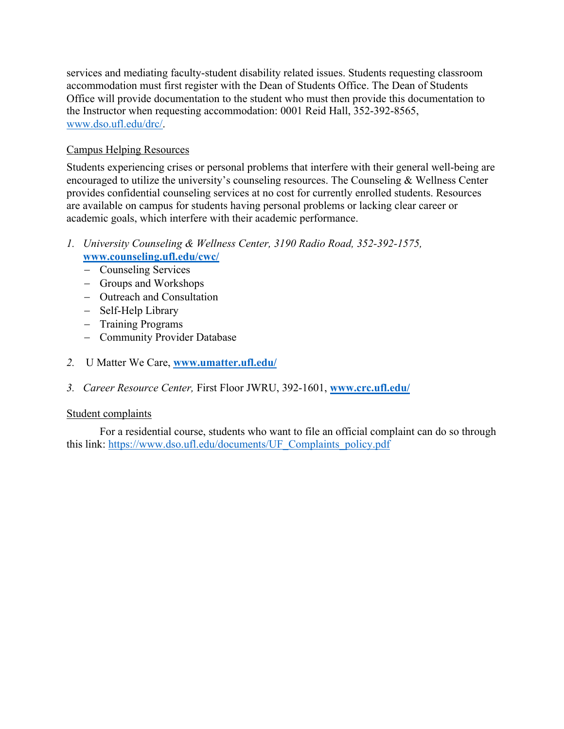services and mediating faculty-student disability related issues. Students requesting classroom accommodation must first register with the Dean of Students Office. The Dean of Students Office will provide documentation to the student who must then provide this documentation to the Instructor when requesting accommodation: 0001 Reid Hall, 352-392-8565, www.dso.ufl.edu/drc/.

# Campus Helping Resources

Students experiencing crises or personal problems that interfere with their general well-being are encouraged to utilize the university's counseling resources. The Counseling & Wellness Center provides confidential counseling services at no cost for currently enrolled students. Resources are available on campus for students having personal problems or lacking clear career or academic goals, which interfere with their academic performance.

- *1. University Counseling & Wellness Center, 3190 Radio Road, 352-392-1575,*  **www.counseling.ufl.edu/cwc/**
	- Counseling Services
	- Groups and Workshops
	- Outreach and Consultation
	- Self-Help Library
	- Training Programs
	- Community Provider Database
- *2.* U Matter We Care, **www.umatter.ufl.edu/**
- *3. Career Resource Center,* First Floor JWRU, 392-1601, **www.crc.ufl.edu/**

# Student complaints

For a residential course, students who want to file an official complaint can do so through this link: https://www.dso.ufl.edu/documents/UF\_Complaints\_policy.pdf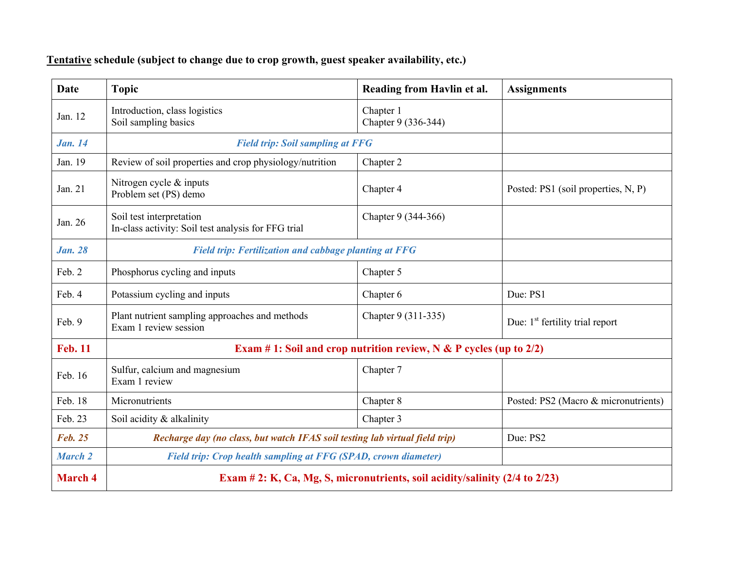# **Tentative schedule (subject to change due to crop growth, guest speaker availability, etc.)**

| <b>Date</b>    | <b>Topic</b>                                                                    | Reading from Havlin et al.       | <b>Assignments</b>                          |  |  |
|----------------|---------------------------------------------------------------------------------|----------------------------------|---------------------------------------------|--|--|
| Jan. 12        | Introduction, class logistics<br>Soil sampling basics                           | Chapter 1<br>Chapter 9 (336-344) |                                             |  |  |
| <b>Jan.</b> 14 | <b>Field trip: Soil sampling at FFG</b>                                         |                                  |                                             |  |  |
| Jan. 19        | Review of soil properties and crop physiology/nutrition                         | Chapter 2                        |                                             |  |  |
| Jan. 21        | Nitrogen cycle & inputs<br>Problem set (PS) demo                                | Chapter 4                        | Posted: PS1 (soil properties, N, P)         |  |  |
| Jan. 26        | Soil test interpretation<br>In-class activity: Soil test analysis for FFG trial | Chapter 9 (344-366)              |                                             |  |  |
| <b>Jan. 28</b> | <b>Field trip: Fertilization and cabbage planting at FFG</b>                    |                                  |                                             |  |  |
| Feb. 2         | Phosphorus cycling and inputs                                                   | Chapter 5                        |                                             |  |  |
| Feb. 4         | Potassium cycling and inputs                                                    | Chapter 6                        | Due: PS1                                    |  |  |
| Feb. 9         | Plant nutrient sampling approaches and methods<br>Exam 1 review session         | Chapter 9 (311-335)              | Due: 1 <sup>st</sup> fertility trial report |  |  |
| <b>Feb. 11</b> | Exam # 1: Soil and crop nutrition review, $N & P$ cycles (up to 2/2)            |                                  |                                             |  |  |
| Feb. 16        | Sulfur, calcium and magnesium<br>Exam 1 review                                  | Chapter 7                        |                                             |  |  |
| Feb. 18        | Micronutrients                                                                  | Chapter 8                        | Posted: PS2 (Macro & micronutrients)        |  |  |
| Feb. 23        | Soil acidity & alkalinity                                                       | Chapter 3                        |                                             |  |  |
| <b>Feb. 25</b> | Recharge day (no class, but watch IFAS soil testing lab virtual field trip)     |                                  | Due: PS2                                    |  |  |
| <b>March 2</b> | <b>Field trip: Crop health sampling at FFG (SPAD, crown diameter)</b>           |                                  |                                             |  |  |
| <b>March 4</b> | Exam # 2: K, Ca, Mg, S, micronutrients, soil acidity/salinity (2/4 to 2/23)     |                                  |                                             |  |  |